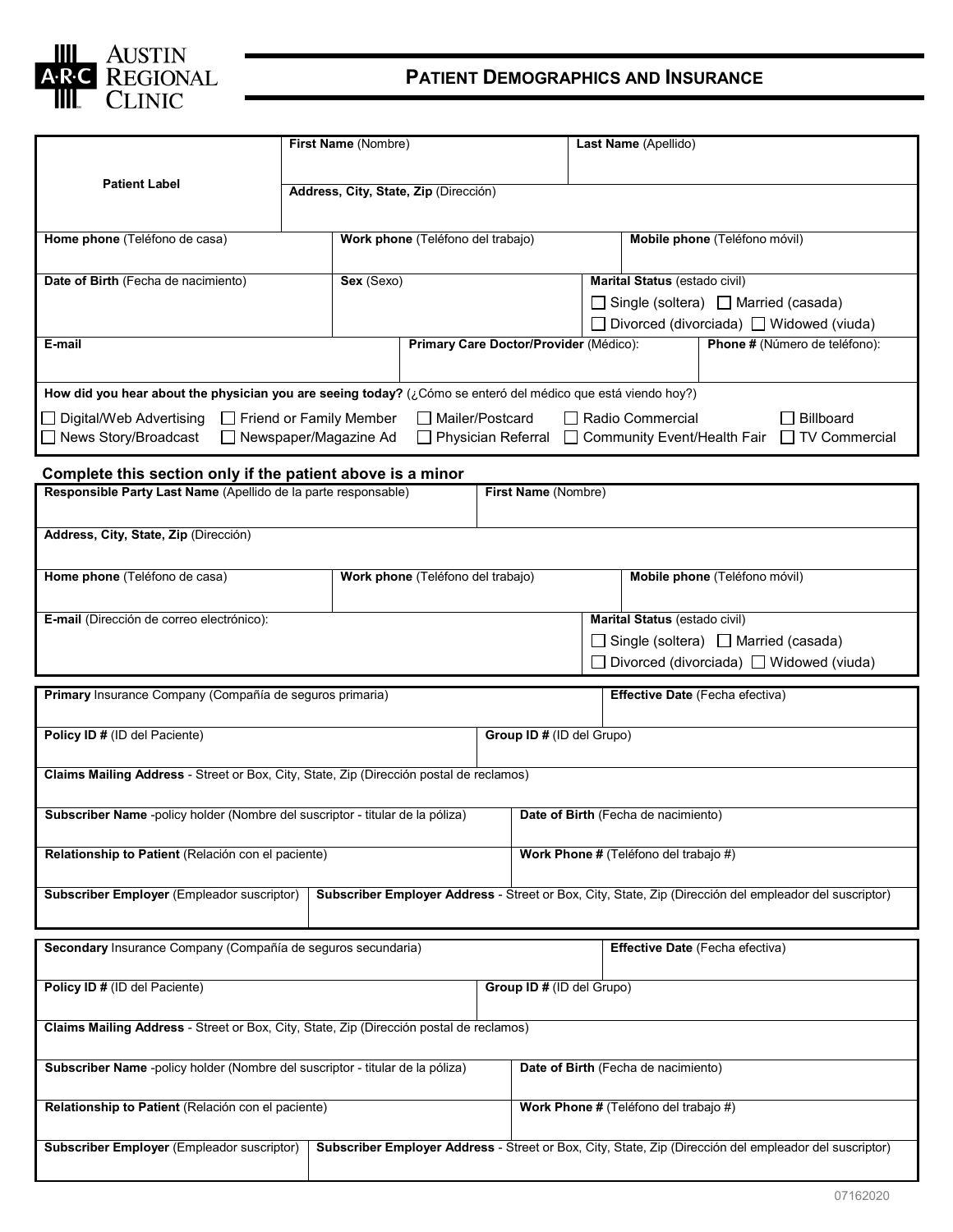

## **PATIENT DEMOGRAPHICS AND INSURANCE**

| First Name (Nombre)                                                                                                                                  |                                       |                                        |  | Last Name (Apellido)                  |                                                 |  |  |  |
|------------------------------------------------------------------------------------------------------------------------------------------------------|---------------------------------------|----------------------------------------|--|---------------------------------------|-------------------------------------------------|--|--|--|
|                                                                                                                                                      |                                       |                                        |  |                                       |                                                 |  |  |  |
| <b>Patient Label</b>                                                                                                                                 | Address, City, State, Zip (Dirección) |                                        |  |                                       |                                                 |  |  |  |
|                                                                                                                                                      |                                       |                                        |  |                                       |                                                 |  |  |  |
| Mobile phone (Teléfono móvil)<br>Home phone (Teléfono de casa)<br>Work phone (Teléfono del trabajo)                                                  |                                       |                                        |  |                                       |                                                 |  |  |  |
|                                                                                                                                                      |                                       |                                        |  |                                       |                                                 |  |  |  |
| Date of Birth (Fecha de nacimiento)                                                                                                                  |                                       | Sex (Sexo)                             |  |                                       | Marital Status (estado civil)                   |  |  |  |
|                                                                                                                                                      |                                       |                                        |  |                                       | $\Box$ Single (soltera) $\Box$ Married (casada) |  |  |  |
|                                                                                                                                                      |                                       |                                        |  |                                       | □ Divorced (divorciada) □ Widowed (viuda)       |  |  |  |
| E-mail                                                                                                                                               |                                       | Primary Care Doctor/Provider (Médico): |  |                                       | Phone # (Número de teléfono):                   |  |  |  |
|                                                                                                                                                      |                                       |                                        |  |                                       |                                                 |  |  |  |
| How did you hear about the physician you are seeing today? (¿Cómo se enteró del médico que está viendo hoy?)                                         |                                       |                                        |  |                                       |                                                 |  |  |  |
| □ Digital/Web Advertising<br>Friend or Family Member<br>Mailer/Postcard<br>$\Box$ Radio Commercial<br>Billboard                                      |                                       |                                        |  |                                       |                                                 |  |  |  |
| □ News Story/Broadcast<br>□ Newspaper/Magazine Ad<br>$\Box$ TV Commercial<br>$\Box$ Physician Referral<br>□ Community Event/Health Fair              |                                       |                                        |  |                                       |                                                 |  |  |  |
|                                                                                                                                                      |                                       |                                        |  |                                       |                                                 |  |  |  |
| Complete this section only if the patient above is a minor<br>Responsible Party Last Name (Apellido de la parte responsable)<br>First Name (Nombre)  |                                       |                                        |  |                                       |                                                 |  |  |  |
|                                                                                                                                                      |                                       |                                        |  |                                       |                                                 |  |  |  |
| Address, City, State, Zip (Dirección)                                                                                                                |                                       |                                        |  |                                       |                                                 |  |  |  |
|                                                                                                                                                      |                                       |                                        |  |                                       |                                                 |  |  |  |
| Home phone (Teléfono de casa)                                                                                                                        | Work phone (Teléfono del trabajo)     |                                        |  | Mobile phone (Teléfono móvil)         |                                                 |  |  |  |
|                                                                                                                                                      |                                       |                                        |  |                                       |                                                 |  |  |  |
| Marital Status (estado civil)<br>E-mail (Dirección de correo electrónico):                                                                           |                                       |                                        |  |                                       |                                                 |  |  |  |
|                                                                                                                                                      |                                       |                                        |  |                                       | $\Box$ Single (soltera) $\Box$ Married (casada) |  |  |  |
| Divorced (divorciada) □ Widowed (viuda)                                                                                                              |                                       |                                        |  |                                       |                                                 |  |  |  |
| Primary Insurance Company (Compañía de seguros primaria)<br>Effective Date (Fecha efectiva)                                                          |                                       |                                        |  |                                       |                                                 |  |  |  |
|                                                                                                                                                      |                                       |                                        |  |                                       |                                                 |  |  |  |
| Policy ID # (ID del Paciente)                                                                                                                        |                                       |                                        |  |                                       | Group ID # (ID del Grupo)                       |  |  |  |
| Claims Mailing Address - Street or Box, City, State, Zip (Dirección postal de reclamos)                                                              |                                       |                                        |  |                                       |                                                 |  |  |  |
|                                                                                                                                                      |                                       |                                        |  |                                       |                                                 |  |  |  |
| Subscriber Name -policy holder (Nombre del suscriptor - titular de la póliza)                                                                        |                                       |                                        |  | Date of Birth (Fecha de nacimiento)   |                                                 |  |  |  |
|                                                                                                                                                      |                                       |                                        |  |                                       |                                                 |  |  |  |
| Relationship to Patient (Relación con el paciente)                                                                                                   |                                       |                                        |  | Work Phone # (Teléfono del trabajo #) |                                                 |  |  |  |
| Subscriber Employer (Empleador suscriptor)<br>Subscriber Employer Address - Street or Box, City, State, Zip (Dirección del empleador del suscriptor) |                                       |                                        |  |                                       |                                                 |  |  |  |
|                                                                                                                                                      |                                       |                                        |  |                                       |                                                 |  |  |  |
|                                                                                                                                                      |                                       |                                        |  |                                       |                                                 |  |  |  |
| Secondary Insurance Company (Compañía de seguros secundaria)                                                                                         |                                       |                                        |  | Effective Date (Fecha efectiva)       |                                                 |  |  |  |
| Policy ID # (ID del Paciente)                                                                                                                        |                                       |                                        |  | Group ID # (ID del Grupo)             |                                                 |  |  |  |
|                                                                                                                                                      |                                       |                                        |  |                                       |                                                 |  |  |  |
| Claims Mailing Address - Street or Box, City, State, Zip (Dirección postal de reclamos)                                                              |                                       |                                        |  |                                       |                                                 |  |  |  |
|                                                                                                                                                      |                                       |                                        |  |                                       |                                                 |  |  |  |
| Subscriber Name -policy holder (Nombre del suscriptor - titular de la póliza)<br>Date of Birth (Fecha de nacimiento)                                 |                                       |                                        |  |                                       |                                                 |  |  |  |
|                                                                                                                                                      |                                       |                                        |  |                                       |                                                 |  |  |  |
| Relationship to Patient (Relación con el paciente)                                                                                                   |                                       |                                        |  | Work Phone # (Teléfono del trabajo #) |                                                 |  |  |  |
| Subscriber Employer Address - Street or Box, City, State, Zip (Dirección del empleador del suscriptor)<br>Subscriber Employer (Empleador suscriptor) |                                       |                                        |  |                                       |                                                 |  |  |  |
|                                                                                                                                                      |                                       |                                        |  |                                       |                                                 |  |  |  |